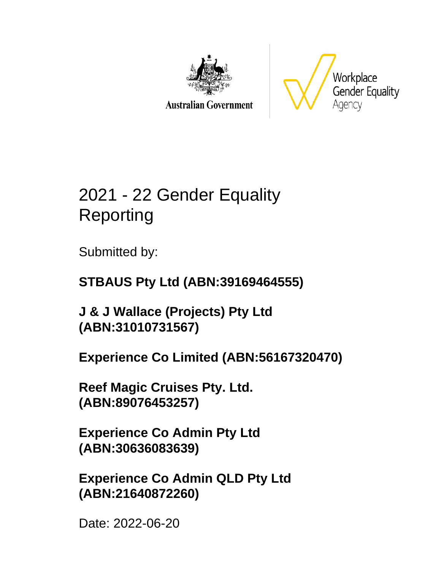

**Australian Government** 



# 2021 - 22 Gender Equality Reporting

Submitted by:

### **STBAUS Pty Ltd (ABN:39169464555)**

**J & J Wallace (Projects) Pty Ltd (ABN:31010731567)**

**Experience Co Limited (ABN:56167320470)**

**Reef Magic Cruises Pty. Ltd. (ABN:89076453257)**

**Experience Co Admin Pty Ltd (ABN:30636083639)**

**Experience Co Admin QLD Pty Ltd (ABN:21640872260)**

Date: 2022-06-20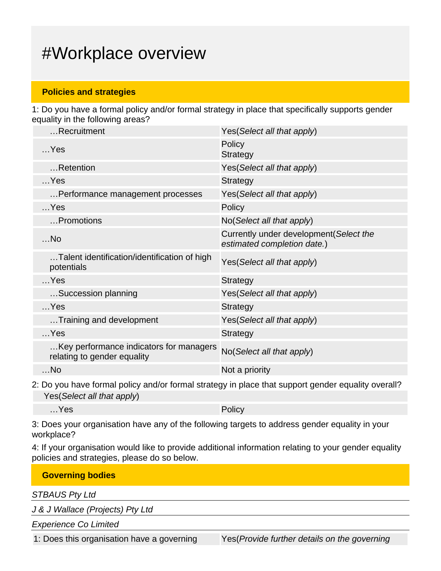## #Workplace overview

#### **Policies and strategies**

1: Do you have a formal policy and/or formal strategy in place that specifically supports gender equality in the following areas?

| Yes(Select all that apply)                                             |
|------------------------------------------------------------------------|
| Policy<br><b>Strategy</b>                                              |
| Yes(Select all that apply)                                             |
| Strategy                                                               |
| Yes(Select all that apply)                                             |
| Policy                                                                 |
| No(Select all that apply)                                              |
| Currently under development (Select the<br>estimated completion date.) |
| Yes(Select all that apply)                                             |
| <b>Strategy</b>                                                        |
| Yes(Select all that apply)                                             |
| Strategy                                                               |
| Yes(Select all that apply)                                             |
| <b>Strategy</b>                                                        |
| Key performance indicators for managers<br>No(Select all that apply)   |
| Not a priority                                                         |
|                                                                        |

2: Do you have formal policy and/or formal strategy in place that support gender equality overall? Yes(Select all that apply)

…Yes Policy

3: Does your organisation have any of the following targets to address gender equality in your workplace?

4: If your organisation would like to provide additional information relating to your gender equality policies and strategies, please do so below.

| <b>Governing bodies</b>          |  |  |  |
|----------------------------------|--|--|--|
| <b>STBAUS Pty Ltd</b>            |  |  |  |
| J & J Wallace (Projects) Pty Ltd |  |  |  |
| <b>Experience Co Limited</b>     |  |  |  |
|                                  |  |  |  |

1: Does this organisation have a governing Yes(*Provide further details on the governing*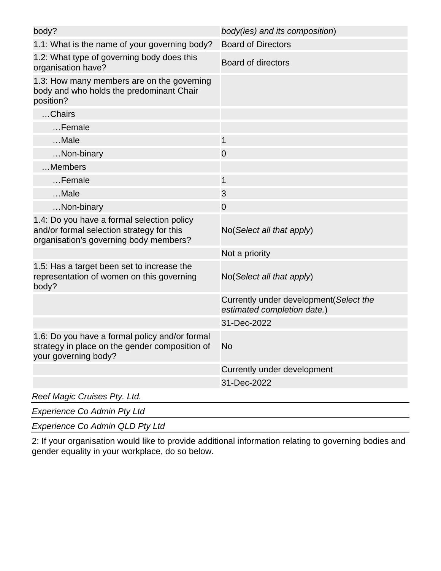| body?                                                                                                                             | body(ies) and its composition)                                         |
|-----------------------------------------------------------------------------------------------------------------------------------|------------------------------------------------------------------------|
| 1.1: What is the name of your governing body?                                                                                     | <b>Board of Directors</b>                                              |
| 1.2: What type of governing body does this<br>organisation have?                                                                  | <b>Board of directors</b>                                              |
| 1.3: How many members are on the governing<br>body and who holds the predominant Chair<br>position?                               |                                                                        |
| Chairs                                                                                                                            |                                                                        |
| Female                                                                                                                            |                                                                        |
| Male                                                                                                                              | $\mathbf{1}$                                                           |
| Non-binary                                                                                                                        | $\overline{0}$                                                         |
| Members                                                                                                                           |                                                                        |
| $$ Female                                                                                                                         | $\mathbf{1}$                                                           |
| Male                                                                                                                              | 3                                                                      |
| Non-binary                                                                                                                        | $\overline{0}$                                                         |
| 1.4: Do you have a formal selection policy<br>and/or formal selection strategy for this<br>organisation's governing body members? | No(Select all that apply)                                              |
|                                                                                                                                   | Not a priority                                                         |
| 1.5: Has a target been set to increase the<br>representation of women on this governing<br>body?                                  | No(Select all that apply)                                              |
|                                                                                                                                   | Currently under development (Select the<br>estimated completion date.) |
|                                                                                                                                   | 31-Dec-2022                                                            |
| 1.6: Do you have a formal policy and/or formal<br>strategy in place on the gender composition of<br>your governing body?          | <b>No</b>                                                              |
|                                                                                                                                   | Currently under development                                            |
|                                                                                                                                   | 31-Dec-2022                                                            |
| Reef Magic Cruises Pty. Ltd.                                                                                                      |                                                                        |

Experience Co Admin Pty Ltd

Experience Co Admin QLD Pty Ltd

2: If your organisation would like to provide additional information relating to governing bodies and gender equality in your workplace, do so below.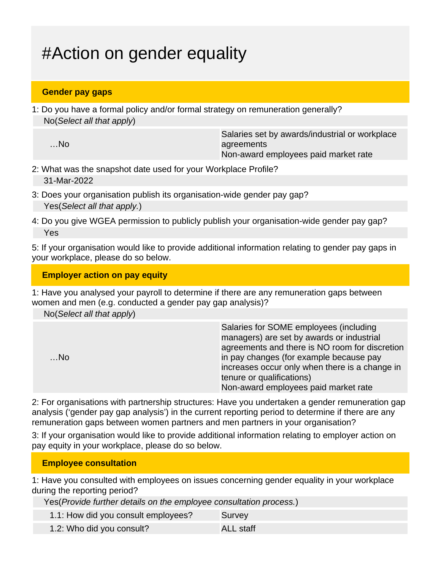# #Action on gender equality

### **Gender pay gaps**

1: Do you have a formal policy and/or formal strategy on remuneration generally? No(Select all that apply)

…No

Salaries set by awards/industrial or workplace agreements Non-award employees paid market rate

- 2: What was the snapshot date used for your Workplace Profile? 31-Mar-2022
- 3: Does your organisation publish its organisation-wide gender pay gap? Yes(Select all that apply.)
- 4: Do you give WGEA permission to publicly publish your organisation-wide gender pay gap? Yes

5: If your organisation would like to provide additional information relating to gender pay gaps in your workplace, please do so below.

#### **Employer action on pay equity**

1: Have you analysed your payroll to determine if there are any remuneration gaps between women and men (e.g. conducted a gender pay gap analysis)?

| No(Select all that apply) |  |
|---------------------------|--|
|---------------------------|--|

|       | Salaries for SOME employees (including         |
|-------|------------------------------------------------|
|       | managers) are set by awards or industrial      |
|       | agreements and there is NO room for discretion |
| $$ No | in pay changes (for example because pay        |
|       | increases occur only when there is a change in |
|       | tenure or qualifications)                      |
|       | Non-award employees paid market rate           |

2: For organisations with partnership structures: Have you undertaken a gender remuneration gap analysis ('gender pay gap analysis') in the current reporting period to determine if there are any remuneration gaps between women partners and men partners in your organisation?

3: If your organisation would like to provide additional information relating to employer action on pay equity in your workplace, please do so below.

### **Employee consultation**

1: Have you consulted with employees on issues concerning gender equality in your workplace during the reporting period?

Yes(Provide further details on the employee consultation process.)

- 1.1: How did you consult employees? Survey
- 1.2: Who did you consult? ALL staff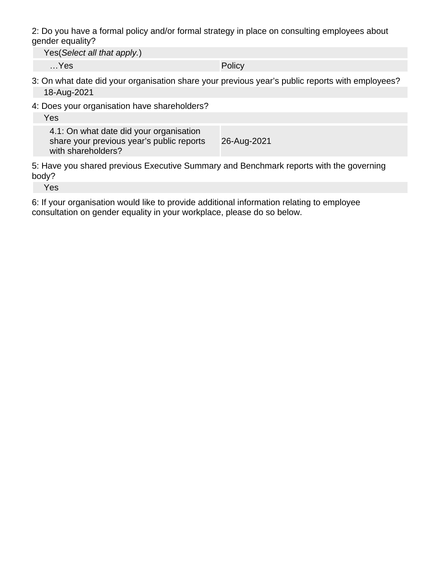2: Do you have a formal policy and/or formal strategy in place on consulting employees about gender equality?

Yes(Select all that apply.)

…Yes Policy

- 3: On what date did your organisation share your previous year's public reports with employees? 18-Aug-2021
- 4: Does your organisation have shareholders?

Yes

4.1: On what date did your organisation share your previous year's public reports with shareholders? 26-Aug-2021

5: Have you shared previous Executive Summary and Benchmark reports with the governing body?

Yes

6: If your organisation would like to provide additional information relating to employee consultation on gender equality in your workplace, please do so below.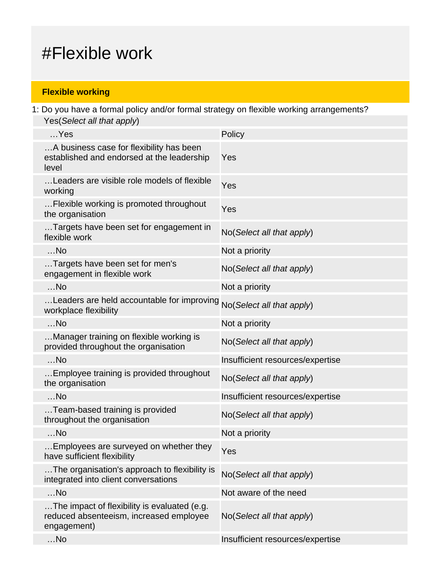### #Flexible work

### **Flexible working**

1: Do you have a formal policy and/or formal strategy on flexible working arrangements? Yes(Select all that apply)

| $$ Yes                                                                                                 | Policy                           |
|--------------------------------------------------------------------------------------------------------|----------------------------------|
| A business case for flexibility has been<br>established and endorsed at the leadership<br>level        | Yes                              |
| Leaders are visible role models of flexible<br>working                                                 | Yes                              |
| Flexible working is promoted throughout<br>the organisation                                            | Yes                              |
| Targets have been set for engagement in<br>flexible work                                               | No(Select all that apply)        |
| $$ No                                                                                                  | Not a priority                   |
| Targets have been set for men's<br>engagement in flexible work                                         | No(Select all that apply)        |
| $$ No                                                                                                  | Not a priority                   |
| Leaders are held accountable for improving<br>workplace flexibility                                    | No(Select all that apply)        |
| $$ No                                                                                                  | Not a priority                   |
| Manager training on flexible working is<br>provided throughout the organisation                        | No(Select all that apply)        |
| $$ No                                                                                                  | Insufficient resources/expertise |
| Employee training is provided throughout<br>the organisation                                           | No(Select all that apply)        |
| $$ No                                                                                                  | Insufficient resources/expertise |
| Team-based training is provided<br>throughout the organisation                                         | No(Select all that apply)        |
| $$ No                                                                                                  | Not a priority                   |
| .Employees are surveyed on whether they<br>have sufficient flexibility                                 | Yes                              |
| The organisation's approach to flexibility is<br>integrated into client conversations                  | No(Select all that apply)        |
| $$ No                                                                                                  | Not aware of the need            |
| The impact of flexibility is evaluated (e.g.<br>reduced absenteeism, increased employee<br>engagement) | No(Select all that apply)        |
| $$ No                                                                                                  | Insufficient resources/expertise |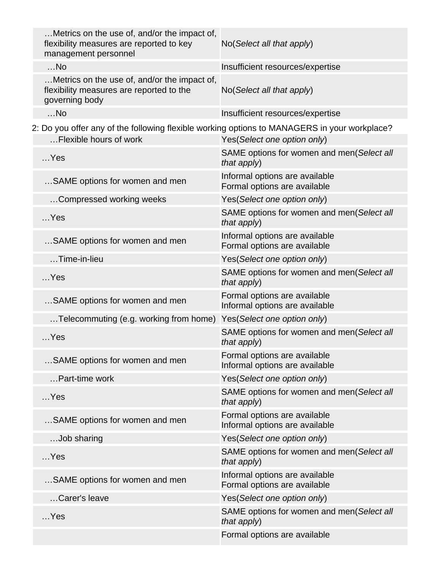| Metrics on the use of, and/or the impact of,<br>flexibility measures are reported to key<br>management personnel | No(Select all that apply)                                      |
|------------------------------------------------------------------------------------------------------------------|----------------------------------------------------------------|
| $$ No                                                                                                            | Insufficient resources/expertise                               |
| Metrics on the use of, and/or the impact of,<br>flexibility measures are reported to the<br>governing body       | No (Select all that apply)                                     |
| $$ No                                                                                                            | Insufficient resources/expertise                               |
| 2: Do you offer any of the following flexible working options to MANAGERS in your workplace?                     |                                                                |
| Flexible hours of work                                                                                           | Yes(Select one option only)                                    |
| $$ Yes                                                                                                           | SAME options for women and men(Select all<br>that apply)       |
| SAME options for women and men                                                                                   | Informal options are available<br>Formal options are available |
| Compressed working weeks                                                                                         | Yes(Select one option only)                                    |
| $$ Yes                                                                                                           | SAME options for women and men(Select all<br>that apply)       |
| SAME options for women and men                                                                                   | Informal options are available<br>Formal options are available |
| $\dots$ Time-in-lieu                                                                                             | Yes(Select one option only)                                    |
| $$ Yes                                                                                                           | SAME options for women and men(Select all<br>that apply)       |
| SAME options for women and men                                                                                   | Formal options are available<br>Informal options are available |
| Telecommuting (e.g. working from home)                                                                           | Yes(Select one option only)                                    |
| $$ Yes                                                                                                           | SAME options for women and men(Select all<br>that apply)       |
| SAME options for women and men                                                                                   | Formal options are available<br>Informal options are available |
| Part-time work                                                                                                   | Yes(Select one option only)                                    |
| $$ Yes                                                                                                           | SAME options for women and men(Select all<br>that apply)       |
| SAME options for women and men                                                                                   | Formal options are available<br>Informal options are available |
| Job sharing                                                                                                      | Yes(Select one option only)                                    |
| $$ Yes                                                                                                           | SAME options for women and men(Select all<br>that apply)       |
| SAME options for women and men                                                                                   | Informal options are available<br>Formal options are available |
| Carer's leave                                                                                                    | Yes(Select one option only)                                    |
| $$ Yes                                                                                                           | SAME options for women and men(Select all<br>that apply)       |
|                                                                                                                  | Formal options are available                                   |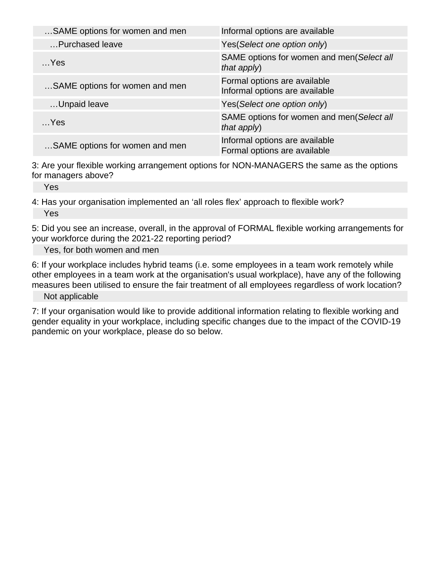| Informal options are available                                 |
|----------------------------------------------------------------|
| Yes (Select one option only)                                   |
| SAME options for women and men(Select all<br>that apply)       |
| Formal options are available<br>Informal options are available |
| Yes (Select one option only)                                   |
| SAME options for women and men(Select all<br>that apply)       |
| Informal options are available<br>Formal options are available |
|                                                                |

3: Are your flexible working arrangement options for NON-MANAGERS the same as the options for managers above?

Yes

4: Has your organisation implemented an 'all roles flex' approach to flexible work? Yes

5: Did you see an increase, overall, in the approval of FORMAL flexible working arrangements for your workforce during the 2021-22 reporting period?

Yes, for both women and men

6: If your workplace includes hybrid teams (i.e. some employees in a team work remotely while other employees in a team work at the organisation's usual workplace), have any of the following measures been utilised to ensure the fair treatment of all employees regardless of work location?

Not applicable

7: If your organisation would like to provide additional information relating to flexible working and gender equality in your workplace, including specific changes due to the impact of the COVID-19 pandemic on your workplace, please do so below.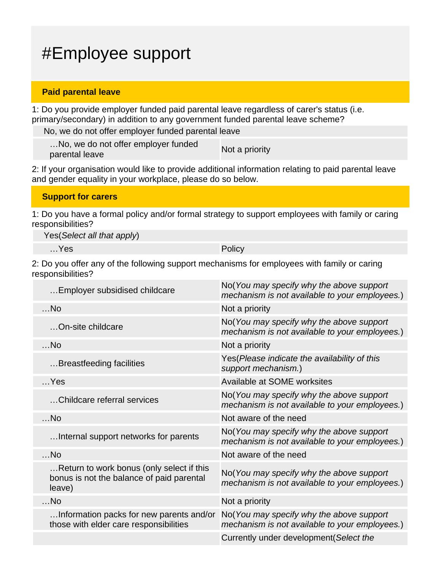## #Employee support

#### **Paid parental leave**

1: Do you provide employer funded paid parental leave regardless of carer's status (i.e. primary/secondary) in addition to any government funded parental leave scheme?

No, we do not offer employer funded parental leave

…No, we do not offer employer funded mo, we do not oner employer runded<br>parental leave

2: If your organisation would like to provide additional information relating to paid parental leave and gender equality in your workplace, please do so below.

|  | <b>Support for carers</b> |
|--|---------------------------|
|--|---------------------------|

1: Do you have a formal policy and/or formal strategy to support employees with family or caring responsibilities?

Yes(Select all that apply)

…Yes Policy

2: Do you offer any of the following support mechanisms for employees with family or caring responsibilities?

| Employer subsidised childcare                                                                    | No (You may specify why the above support<br>mechanism is not available to your employees.) |
|--------------------------------------------------------------------------------------------------|---------------------------------------------------------------------------------------------|
| $$ No                                                                                            | Not a priority                                                                              |
| On-site childcare                                                                                | No(You may specify why the above support<br>mechanism is not available to your employees.)  |
| $$ No                                                                                            | Not a priority                                                                              |
| Breastfeeding facilities                                                                         | Yes (Please indicate the availability of this<br>support mechanism.)                        |
| $$ Yes                                                                                           | Available at SOME worksites                                                                 |
| Childcare referral services                                                                      | No(You may specify why the above support<br>mechanism is not available to your employees.)  |
| $$ No                                                                                            | Not aware of the need                                                                       |
| Internal support networks for parents                                                            | No(You may specify why the above support<br>mechanism is not available to your employees.)  |
| $$ No                                                                                            | Not aware of the need                                                                       |
| Return to work bonus (only select if this<br>bonus is not the balance of paid parental<br>leave) | No(You may specify why the above support<br>mechanism is not available to your employees.)  |
| $$ No                                                                                            | Not a priority                                                                              |
| Information packs for new parents and/or<br>those with elder care responsibilities               | No(You may specify why the above support<br>mechanism is not available to your employees.)  |
|                                                                                                  | Currently under development (Select the                                                     |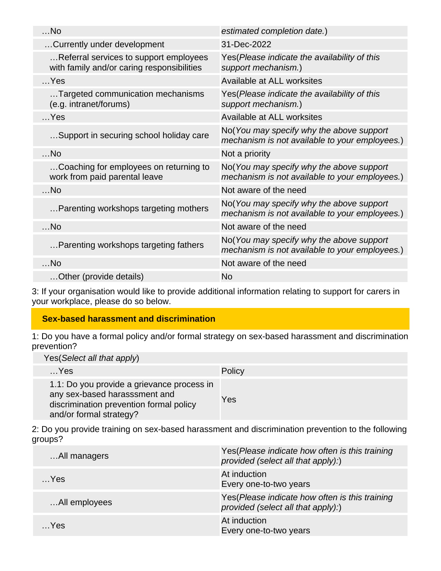| estimated completion date.)                                                                |
|--------------------------------------------------------------------------------------------|
| 31-Dec-2022                                                                                |
| Yes (Please indicate the availability of this<br>support mechanism.)                       |
| Available at ALL worksites                                                                 |
| Yes (Please indicate the availability of this<br>support mechanism.)                       |
| Available at ALL worksites                                                                 |
| No(You may specify why the above support<br>mechanism is not available to your employees.) |
| Not a priority                                                                             |
| No(You may specify why the above support<br>mechanism is not available to your employees.) |
| Not aware of the need                                                                      |
| No(You may specify why the above support<br>mechanism is not available to your employees.) |
| Not aware of the need                                                                      |
| No(You may specify why the above support<br>mechanism is not available to your employees.) |
| Not aware of the need                                                                      |
| No                                                                                         |
|                                                                                            |

3: If your organisation would like to provide additional information relating to support for carers in your workplace, please do so below.

### **Sex-based harassment and discrimination**

1: Do you have a formal policy and/or formal strategy on sex-based harassment and discrimination prevention?

Yes(Select all that apply)

| $$ Yes                                                                                                                                            | Policy |
|---------------------------------------------------------------------------------------------------------------------------------------------------|--------|
| 1.1: Do you provide a grievance process in<br>any sex-based harasssment and<br>discrimination prevention formal policy<br>and/or formal strategy? | Yes    |

2: Do you provide training on sex-based harassment and discrimination prevention to the following groups?

| All managers  | Yes (Please indicate how often is this training<br>provided (select all that apply):) |
|---------------|---------------------------------------------------------------------------------------|
| $$ Yes        | At induction<br>Every one-to-two years                                                |
| All employees | Yes(Please indicate how often is this training<br>provided (select all that apply):)  |
| Yes           | At induction<br>Every one-to-two years                                                |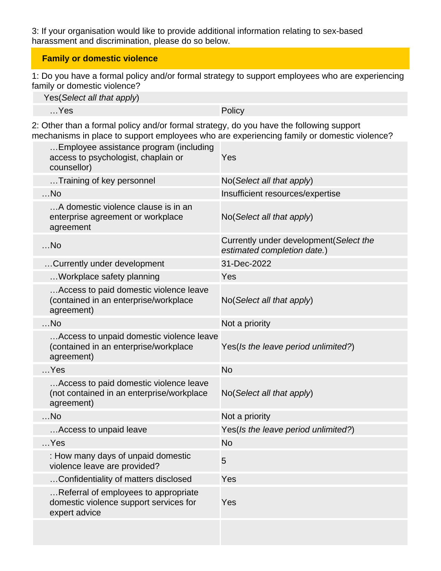3: If your organisation would like to provide additional information relating to sex-based harassment and discrimination, please do so below.

### **Family or domestic violence**

1: Do you have a formal policy and/or formal strategy to support employees who are experiencing family or domestic violence?

| Yes (Select all that apply) |        |
|-----------------------------|--------|
| …Yes                        | Policy |

2: Other than a formal policy and/or formal strategy, do you have the following support mechanisms in place to support employees who are experiencing family or domestic violence?

| Employee assistance program (including<br>access to psychologist, chaplain or<br>counsellor)      | Yes                                                                    |
|---------------------------------------------------------------------------------------------------|------------------------------------------------------------------------|
| Training of key personnel                                                                         | No(Select all that apply)                                              |
| $$ No                                                                                             | Insufficient resources/expertise                                       |
| A domestic violence clause is in an<br>enterprise agreement or workplace<br>agreement             | No(Select all that apply)                                              |
| $$ No                                                                                             | Currently under development (Select the<br>estimated completion date.) |
| Currently under development                                                                       | 31-Dec-2022                                                            |
| Workplace safety planning                                                                         | Yes                                                                    |
| Access to paid domestic violence leave<br>(contained in an enterprise/workplace<br>agreement)     | No(Select all that apply)                                              |
| $$ No                                                                                             | Not a priority                                                         |
| Access to unpaid domestic violence leave<br>(contained in an enterprise/workplace<br>agreement)   | Yes(Is the leave period unlimited?)                                    |
| $$ Yes                                                                                            | <b>No</b>                                                              |
| Access to paid domestic violence leave<br>(not contained in an enterprise/workplace<br>agreement) | No(Select all that apply)                                              |
| $$ No                                                                                             | Not a priority                                                         |
| Access to unpaid leave                                                                            | Yes(Is the leave period unlimited?)                                    |
| $$ Yes                                                                                            | No                                                                     |
| : How many days of unpaid domestic<br>violence leave are provided?                                | 5                                                                      |
| Confidentiality of matters disclosed                                                              | Yes                                                                    |
| Referral of employees to appropriate<br>domestic violence support services for<br>expert advice   | Yes                                                                    |
|                                                                                                   |                                                                        |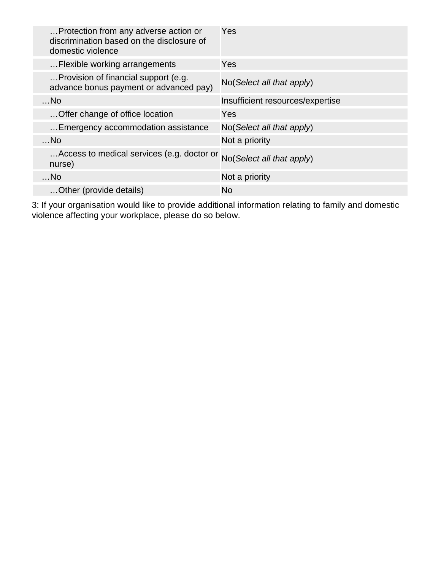| Protection from any adverse action or<br>discrimination based on the disclosure of<br>domestic violence | Yes                              |
|---------------------------------------------------------------------------------------------------------|----------------------------------|
| Flexible working arrangements                                                                           | Yes                              |
| Provision of financial support (e.g.<br>advance bonus payment or advanced pay)                          | No(Select all that apply)        |
| $$ No                                                                                                   | Insufficient resources/expertise |
| Offer change of office location                                                                         | Yes                              |
| Emergency accommodation assistance                                                                      | No(Select all that apply)        |
| $$ No                                                                                                   | Not a priority                   |
| Access to medical services (e.g. doctor or<br>nurse)                                                    | No(Select all that apply)        |
| $$ No                                                                                                   | Not a priority                   |
| Other (provide details)                                                                                 | No.                              |

3: If your organisation would like to provide additional information relating to family and domestic violence affecting your workplace, please do so below.